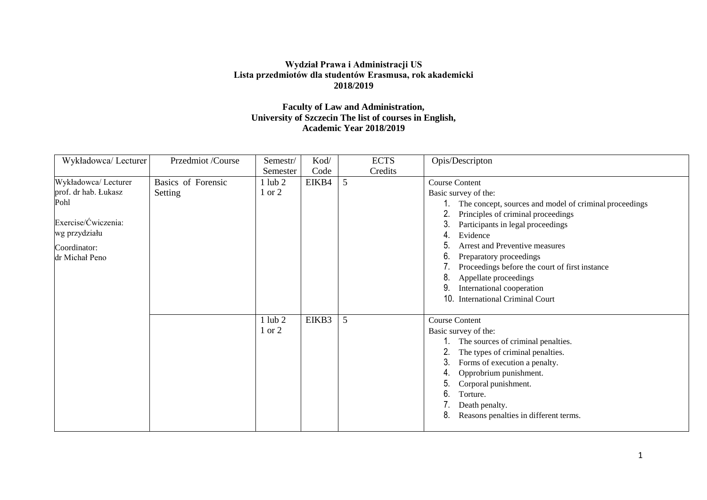## **Wydział Prawa i Administracji US Lista przedmiotów dla studentów Erasmusa, rok akademicki 2018/2019**

## **Faculty of Law and Administration, University of Szczecin The list of courses in English, Academic Year 2018/2019**

| Wykładowca/ Lecturer                                                                                                           | Przedmiot /Course             | $Semestr/$                   | Kod/  | <b>ECTS</b> | Opis/Descripton                                                                                                                                                                                                                                                                                                                                                                                                               |
|--------------------------------------------------------------------------------------------------------------------------------|-------------------------------|------------------------------|-------|-------------|-------------------------------------------------------------------------------------------------------------------------------------------------------------------------------------------------------------------------------------------------------------------------------------------------------------------------------------------------------------------------------------------------------------------------------|
|                                                                                                                                |                               | Semester                     | Code  | Credits     |                                                                                                                                                                                                                                                                                                                                                                                                                               |
| Wykładowca/ Lecturer<br>prof. dr hab. Łukasz<br>Pohl<br>Exercise/Ćwiczenia:<br>wg przydziału<br>Coordinator:<br>dr Michał Peno | Basics of Forensic<br>Setting | 1ub <sub>2</sub><br>or $2$   | EIKB4 | 5           | <b>Course Content</b><br>Basic survey of the:<br>The concept, sources and model of criminal proceedings<br>Principles of criminal proceedings<br>Participants in legal proceedings<br>Evidence<br>Arrest and Preventive measures<br>Preparatory proceedings<br>6.<br>Proceedings before the court of first instance<br>8.<br>Appellate proceedings<br>International cooperation<br>10.<br><b>International Criminal Court</b> |
|                                                                                                                                |                               | $1$ lub $2$<br>$\sigma$ or 2 | EIKB3 | 5           | <b>Course Content</b><br>Basic survey of the:<br>The sources of criminal penalties.<br>The types of criminal penalties.<br>3.<br>Forms of execution a penalty.<br>Opprobrium punishment.<br>Corporal punishment.<br>6.<br>Torture.<br>Death penalty.<br>8.<br>Reasons penalties in different terms.                                                                                                                           |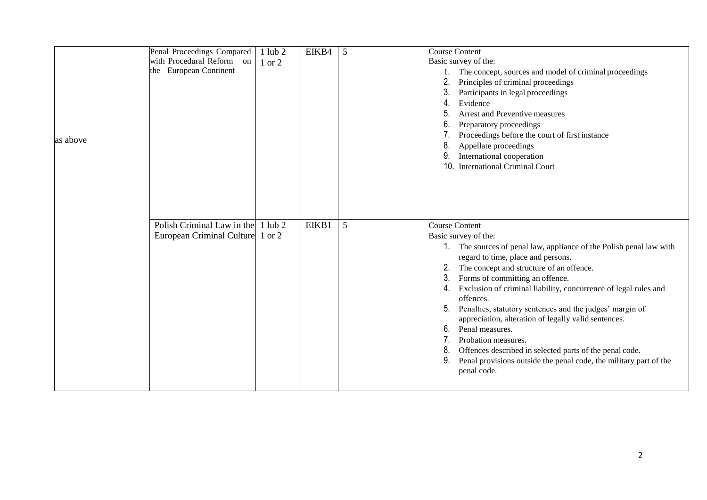|          | Penal Proceedings Compared<br>with Procedural Reform on<br>the European Continent | $1$ lub $2$<br>1 or 2 | EIKB4 | 5 | <b>Course Content</b><br>Basic survey of the:<br>1. The concept, sources and model of criminal proceedings<br>Principles of criminal proceedings<br>3.<br>Participants in legal proceedings<br>Evidence<br>4.<br><b>Arrest and Preventive measures</b>                                                                                                                                                                                                                                                                                                                                                                                                               |
|----------|-----------------------------------------------------------------------------------|-----------------------|-------|---|----------------------------------------------------------------------------------------------------------------------------------------------------------------------------------------------------------------------------------------------------------------------------------------------------------------------------------------------------------------------------------------------------------------------------------------------------------------------------------------------------------------------------------------------------------------------------------------------------------------------------------------------------------------------|
| as above |                                                                                   |                       |       |   | Preparatory proceedings<br>Proceedings before the court of first instance<br>8<br>Appellate proceedings<br>International cooperation<br>10 <sub>1</sub><br><b>International Criminal Court</b>                                                                                                                                                                                                                                                                                                                                                                                                                                                                       |
|          | Polish Criminal Law in the 1 lub 2<br>European Criminal Culture 1 or 2            |                       | EIKB1 | 5 | <b>Course Content</b><br>Basic survey of the:<br>1. The sources of penal law, appliance of the Polish penal law with<br>regard to time, place and persons.<br>The concept and structure of an offence.<br>3.<br>Forms of committing an offence.<br>Exclusion of criminal liability, concurrence of legal rules and<br>4.<br>offences.<br>Penalties, statutory sentences and the judges' margin of<br>appreciation, alteration of legally valid sentences.<br>Penal measures.<br>6.<br>Probation measures.<br>Offences described in selected parts of the penal code.<br>8.<br>9.<br>Penal provisions outside the penal code, the military part of the<br>penal code. |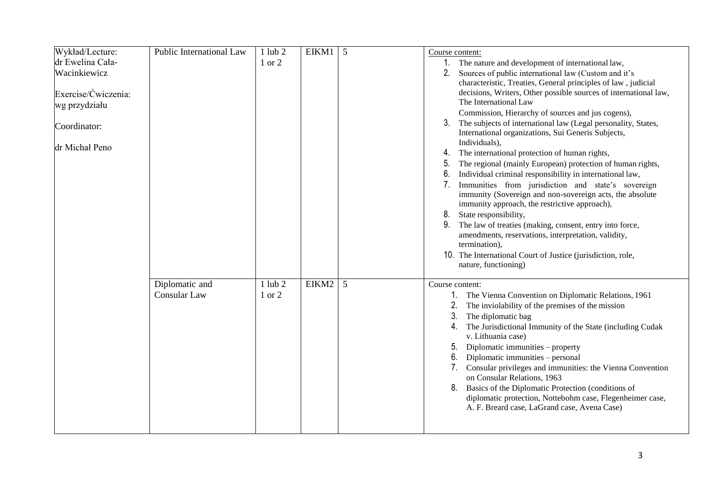| Wykład/Lecture:<br>dr Ewelina Cała-<br>Wacinkiewicz<br>Exercise/Ćwiczenia:<br>wg przydziału<br>Coordinator:<br>dr Michał Peno | Public International Law              | $1$ lub $2$<br>1 or 2 | $EIKM1$ 5 |   | Course content:<br>1. The nature and development of international law,<br>Sources of public international law (Custom and it's<br>2.<br>characteristic, Treaties, General principles of law, judicial<br>decisions, Writers, Other possible sources of international law,<br>The International Law<br>Commission, Hierarchy of sources and jus cogens),<br>3.<br>The subjects of international law (Legal personality, States,<br>International organizations, Sui Generis Subjects,<br>Individuals),<br>The international protection of human rights,<br>4.<br>The regional (mainly European) protection of human rights,<br>5.<br>Individual criminal responsibility in international law,<br>6.<br>7. Immunities from jurisdiction and state's sovereign<br>immunity (Sovereign and non-sovereign acts, the absolute<br>immunity approach, the restrictive approach),<br>8.<br>State responsibility,<br>9.<br>The law of treaties (making, consent, entry into force,<br>amendments, reservations, interpretation, validity,<br>termination),<br>10. The International Court of Justice (jurisdiction, role,<br>nature, functioning) |
|-------------------------------------------------------------------------------------------------------------------------------|---------------------------------------|-----------------------|-----------|---|-----------------------------------------------------------------------------------------------------------------------------------------------------------------------------------------------------------------------------------------------------------------------------------------------------------------------------------------------------------------------------------------------------------------------------------------------------------------------------------------------------------------------------------------------------------------------------------------------------------------------------------------------------------------------------------------------------------------------------------------------------------------------------------------------------------------------------------------------------------------------------------------------------------------------------------------------------------------------------------------------------------------------------------------------------------------------------------------------------------------------------------------|
|                                                                                                                               | Diplomatic and<br><b>Consular Law</b> | $1$ lub $2$<br>1 or 2 | EIKM2     | 5 | Course content:<br>The Vienna Convention on Diplomatic Relations, 1961<br>2.<br>The inviolability of the premises of the mission<br>3.<br>The diplomatic bag<br>The Jurisdictional Immunity of the State (including Cudak<br>4.<br>v. Lithuania case)<br>Diplomatic immunities – property<br>5.<br>6.<br>Diplomatic immunities - personal<br>Consular privileges and immunities: the Vienna Convention<br>on Consular Relations, 1963<br>8.<br>Basics of the Diplomatic Protection (conditions of<br>diplomatic protection, Nottebohm case, Flegenheimer case,<br>A. F. Breard case, LaGrand case, Avena Case)                                                                                                                                                                                                                                                                                                                                                                                                                                                                                                                          |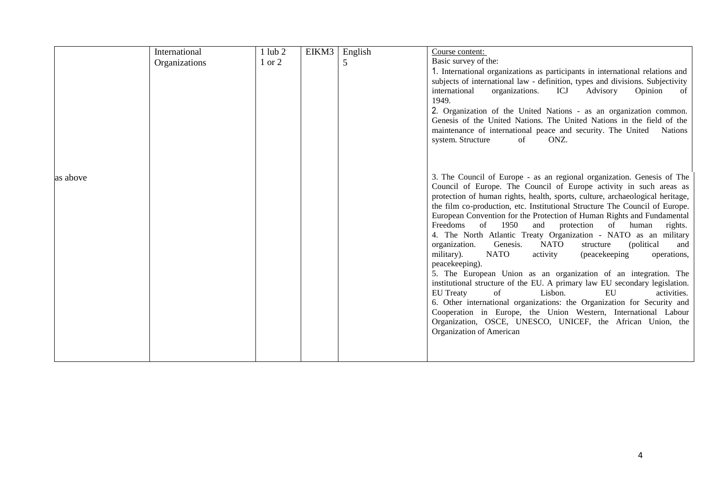|          | International | $1$ lub $2$ | EIKM3 | English | Course content:                                                                                                                              |
|----------|---------------|-------------|-------|---------|----------------------------------------------------------------------------------------------------------------------------------------------|
|          | Organizations | 1 or 2      |       | 5       | Basic survey of the:                                                                                                                         |
|          |               |             |       |         | 1. International organizations as participants in international relations and                                                                |
|          |               |             |       |         | subjects of international law - definition, types and divisions. Subjectivity                                                                |
|          |               |             |       |         | ICJ<br>Opinion<br>international<br>organizations.<br>Advisory<br>of                                                                          |
|          |               |             |       |         | 1949.                                                                                                                                        |
|          |               |             |       |         | 2. Organization of the United Nations - as an organization common.                                                                           |
|          |               |             |       |         | Genesis of the United Nations. The United Nations in the field of the                                                                        |
|          |               |             |       |         | maintenance of international peace and security. The United<br><b>Nations</b>                                                                |
|          |               |             |       |         | system. Structure<br>ONZ.<br>of                                                                                                              |
|          |               |             |       |         |                                                                                                                                              |
|          |               |             |       |         |                                                                                                                                              |
|          |               |             |       |         |                                                                                                                                              |
| as above |               |             |       |         | 3. The Council of Europe - as an regional organization. Genesis of The<br>Council of Europe. The Council of Europe activity in such areas as |
|          |               |             |       |         | protection of human rights, health, sports, culture, archaeological heritage,                                                                |
|          |               |             |       |         | the film co-production, etc. Institutional Structure The Council of Europe.                                                                  |
|          |               |             |       |         | European Convention for the Protection of Human Rights and Fundamental                                                                       |
|          |               |             |       |         | Freedoms of 1950<br>protection of human<br>and<br>rights.                                                                                    |
|          |               |             |       |         | 4. The North Atlantic Treaty Organization - NATO as an military                                                                              |
|          |               |             |       |         | organization.<br>Genesis.<br>NATO<br>(political<br>structure<br>and                                                                          |
|          |               |             |       |         | military).<br><b>NATO</b><br>activity<br>(peacekeeping<br>operations,                                                                        |
|          |               |             |       |         | peacekeeping).                                                                                                                               |
|          |               |             |       |         | 5. The European Union as an organization of an integration. The                                                                              |
|          |               |             |       |         | institutional structure of the EU. A primary law EU secondary legislation.                                                                   |
|          |               |             |       |         | <b>EU</b> Treaty<br>Lisbon.<br>EU<br>of<br>activities.                                                                                       |
|          |               |             |       |         | 6. Other international organizations: the Organization for Security and                                                                      |
|          |               |             |       |         | Cooperation in Europe, the Union Western, International Labour                                                                               |
|          |               |             |       |         | Organization, OSCE, UNESCO, UNICEF, the African Union, the                                                                                   |
|          |               |             |       |         | Organization of American                                                                                                                     |
|          |               |             |       |         |                                                                                                                                              |
|          |               |             |       |         |                                                                                                                                              |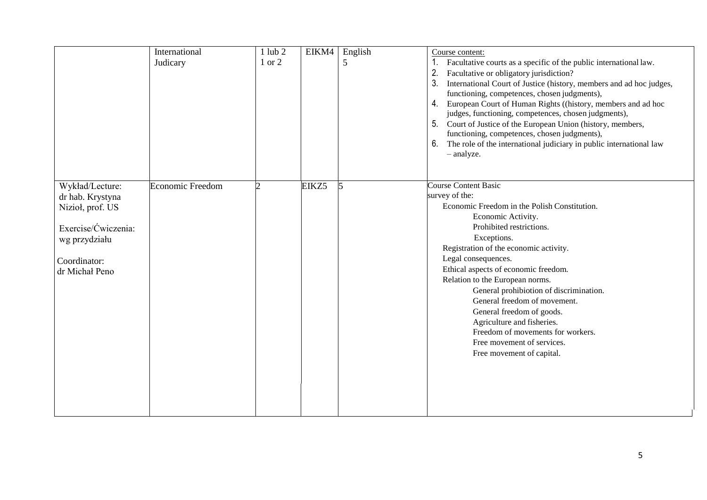|                                                                                                                                   | International<br>Judicary | $1$ lub $2$<br>1 or 2 | EIKM4 | English<br>5 | Course content:<br>1.<br>Facultative courts as a specific of the public international law.<br>2.<br>Facultative or obligatory jurisdiction?<br>3.<br>International Court of Justice (history, members and ad hoc judges,<br>functioning, competences, chosen judgments),<br>European Court of Human Rights ((history, members and ad hoc<br>4.<br>judges, functioning, competences, chosen judgments),<br>Court of Justice of the European Union (history, members,<br>functioning, competences, chosen judgments),<br>6.<br>The role of the international judiciary in public international law<br>- analyze. |
|-----------------------------------------------------------------------------------------------------------------------------------|---------------------------|-----------------------|-------|--------------|----------------------------------------------------------------------------------------------------------------------------------------------------------------------------------------------------------------------------------------------------------------------------------------------------------------------------------------------------------------------------------------------------------------------------------------------------------------------------------------------------------------------------------------------------------------------------------------------------------------|
| Wykład/Lecture:<br>dr hab. Krystyna<br>Nizioł, prof. US<br>Exercise/Ćwiczenia:<br>wg przydziału<br>Coordinator:<br>dr Michał Peno | <b>Economic Freedom</b>   | っ                     | EIKZ5 | 5            | <b>Course Content Basic</b><br>survey of the:<br>Economic Freedom in the Polish Constitution.<br>Economic Activity.<br>Prohibited restrictions.<br>Exceptions.<br>Registration of the economic activity.<br>Legal consequences.<br>Ethical aspects of economic freedom.<br>Relation to the European norms.<br>General prohibiotion of discrimination.<br>General freedom of movement.<br>General freedom of goods.<br>Agriculture and fisheries.<br>Freedom of movements for workers.<br>Free movement of services.<br>Free movement of capital.                                                               |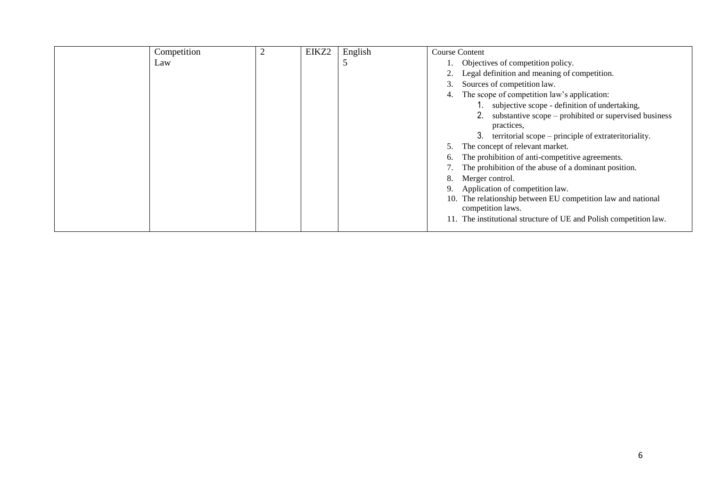| Competition | ∠ | EIKZ2 | English | <b>Course Content</b>                                             |
|-------------|---|-------|---------|-------------------------------------------------------------------|
| Law         |   |       |         | Objectives of competition policy.                                 |
|             |   |       |         | Legal definition and meaning of competition.<br>2.                |
|             |   |       |         | Sources of competition law.<br>s.                                 |
|             |   |       |         | The scope of competition law's application:<br>4.                 |
|             |   |       |         | subjective scope - definition of undertaking,                     |
|             |   |       |         | substantive scope – prohibited or supervised business             |
|             |   |       |         | practices,                                                        |
|             |   |       |         | territorial scope – principle of extrateritoriality.<br>3.        |
|             |   |       |         | The concept of relevant market.                                   |
|             |   |       |         | The prohibition of anti-competitive agreements.<br>6.             |
|             |   |       |         | The prohibition of the abuse of a dominant position.              |
|             |   |       |         | Merger control.<br>8.                                             |
|             |   |       |         | Application of competition law.                                   |
|             |   |       |         | 10. The relationship between EU competition law and national      |
|             |   |       |         | competition laws.                                                 |
|             |   |       |         | 11. The institutional structure of UE and Polish competition law. |
|             |   |       |         |                                                                   |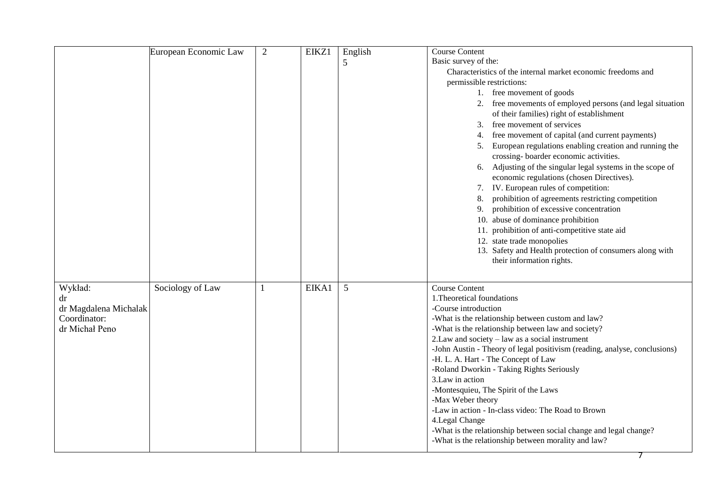|                       | European Economic Law | $\overline{2}$ | EIKZ1 | English | <b>Course Content</b>                                                                  |
|-----------------------|-----------------------|----------------|-------|---------|----------------------------------------------------------------------------------------|
|                       |                       |                |       | 5       | Basic survey of the:                                                                   |
|                       |                       |                |       |         | Characteristics of the internal market economic freedoms and                           |
|                       |                       |                |       |         | permissible restrictions:                                                              |
|                       |                       |                |       |         | 1. free movement of goods                                                              |
|                       |                       |                |       |         | 2. free movements of employed persons (and legal situation                             |
|                       |                       |                |       |         | of their families) right of establishment                                              |
|                       |                       |                |       |         | 3. free movement of services                                                           |
|                       |                       |                |       |         | 4. free movement of capital (and current payments)                                     |
|                       |                       |                |       |         | European regulations enabling creation and running the                                 |
|                       |                       |                |       |         | crossing-boarder economic activities.                                                  |
|                       |                       |                |       |         | Adjusting of the singular legal systems in the scope of<br>6.                          |
|                       |                       |                |       |         | economic regulations (chosen Directives).                                              |
|                       |                       |                |       |         | 7. IV. European rules of competition:                                                  |
|                       |                       |                |       |         | prohibition of agreements restricting competition<br>8.                                |
|                       |                       |                |       |         | prohibition of excessive concentration<br>9.                                           |
|                       |                       |                |       |         | 10. abuse of dominance prohibition                                                     |
|                       |                       |                |       |         |                                                                                        |
|                       |                       |                |       |         | 11. prohibition of anti-competitive state aid                                          |
|                       |                       |                |       |         | 12. state trade monopolies<br>13. Safety and Health protection of consumers along with |
|                       |                       |                |       |         | their information rights.                                                              |
|                       |                       |                |       |         |                                                                                        |
|                       |                       |                |       |         |                                                                                        |
| Wykład:               | Sociology of Law      |                | EIKA1 | 5       | <b>Course Content</b>                                                                  |
| dr                    |                       |                |       |         | 1. Theoretical foundations                                                             |
| dr Magdalena Michalak |                       |                |       |         | -Course introduction                                                                   |
| Coordinator:          |                       |                |       |         | -What is the relationship between custom and law?                                      |
| dr Michał Peno        |                       |                |       |         | -What is the relationship between law and society?                                     |
|                       |                       |                |       |         | 2. Law and society - law as a social instrument                                        |
|                       |                       |                |       |         | -John Austin - Theory of legal positivism (reading, analyse, conclusions)              |
|                       |                       |                |       |         | -H. L. A. Hart - The Concept of Law                                                    |
|                       |                       |                |       |         | -Roland Dworkin - Taking Rights Seriously                                              |
|                       |                       |                |       |         | 3.Law in action                                                                        |
|                       |                       |                |       |         | -Montesquieu, The Spirit of the Laws                                                   |
|                       |                       |                |       |         | -Max Weber theory                                                                      |
|                       |                       |                |       |         | -Law in action - In-class video: The Road to Brown                                     |
|                       |                       |                |       |         | 4. Legal Change                                                                        |
|                       |                       |                |       |         | -What is the relationship between social change and legal change?                      |
|                       |                       |                |       |         | -What is the relationship between morality and law?                                    |
|                       |                       |                |       |         |                                                                                        |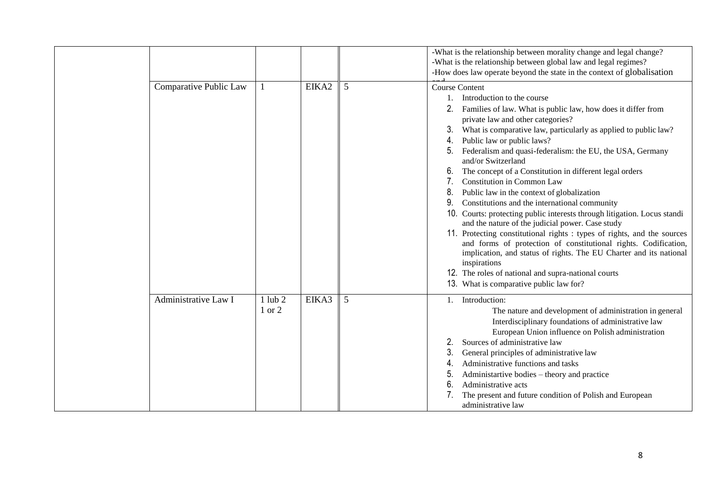|                        |                       |       |   | -What is the relationship between morality change and legal change?<br>-What is the relationship between global law and legal regimes?<br>-How does law operate beyond the state in the context of globalisation                                                                                                                                                                                                                                                                                                                                                                                                                                                                                                                                                                                                                                                                                                                                                                                                                         |
|------------------------|-----------------------|-------|---|------------------------------------------------------------------------------------------------------------------------------------------------------------------------------------------------------------------------------------------------------------------------------------------------------------------------------------------------------------------------------------------------------------------------------------------------------------------------------------------------------------------------------------------------------------------------------------------------------------------------------------------------------------------------------------------------------------------------------------------------------------------------------------------------------------------------------------------------------------------------------------------------------------------------------------------------------------------------------------------------------------------------------------------|
| Comparative Public Law |                       | EIKA2 | 5 | <b>Course Content</b><br>Introduction to the course<br>Families of law. What is public law, how does it differ from<br>private law and other categories?<br>3.<br>What is comparative law, particularly as applied to public law?<br>Public law or public laws?<br>4.<br>Federalism and quasi-federalism: the EU, the USA, Germany<br>and/or Switzerland<br>The concept of a Constitution in different legal orders<br>Constitution in Common Law<br>7.<br>8.<br>Public law in the context of globalization<br>Constitutions and the international community<br>9.<br>10. Courts: protecting public interests through litigation. Locus standi<br>and the nature of the judicial power. Case study<br>11. Protecting constitutional rights : types of rights, and the sources<br>and forms of protection of constitutional rights. Codification,<br>implication, and status of rights. The EU Charter and its national<br>inspirations<br>12. The roles of national and supra-national courts<br>13. What is comparative public law for? |
| Administrative Law I   | $1$ lub $2$<br>1 or 2 | EIKA3 | 5 | 1. Introduction:<br>The nature and development of administration in general<br>Interdisciplinary foundations of administrative law<br>European Union influence on Polish administration<br>Sources of administrative law<br>3.<br>General principles of administrative law<br>Administrative functions and tasks<br>Administartive bodies – theory and practice<br>5.<br>6.<br>Administrative acts<br>The present and future condition of Polish and European<br>administrative law                                                                                                                                                                                                                                                                                                                                                                                                                                                                                                                                                      |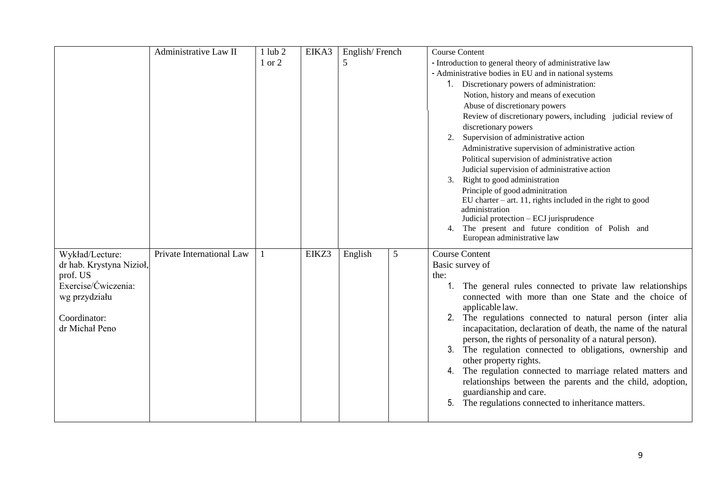|                          | Administrative Law II     | $1$ lub $2$ | EIKA3 | English/French |   | <b>Course Content</b>                                                          |
|--------------------------|---------------------------|-------------|-------|----------------|---|--------------------------------------------------------------------------------|
|                          |                           | 1 or 2      |       | $\mathfrak{S}$ |   | - Introduction to general theory of administrative law                         |
|                          |                           |             |       |                |   | - Administrative bodies in EU and in national systems                          |
|                          |                           |             |       |                |   | 1. Discretionary powers of administration:                                     |
|                          |                           |             |       |                |   | Notion, history and means of execution                                         |
|                          |                           |             |       |                |   | Abuse of discretionary powers                                                  |
|                          |                           |             |       |                |   | Review of discretionary powers, including judicial review of                   |
|                          |                           |             |       |                |   | discretionary powers                                                           |
|                          |                           |             |       |                |   | 2. Supervision of administrative action                                        |
|                          |                           |             |       |                |   | Administrative supervision of administrative action                            |
|                          |                           |             |       |                |   | Political supervision of administrative action                                 |
|                          |                           |             |       |                |   | Judicial supervision of administrative action                                  |
|                          |                           |             |       |                |   | Right to good administration<br>3.                                             |
|                          |                           |             |       |                |   | Principle of good adminitration                                                |
|                          |                           |             |       |                |   | EU charter $-$ art. 11, rights included in the right to good<br>administration |
|                          |                           |             |       |                |   | Judicial protection - ECJ jurisprudence                                        |
|                          |                           |             |       |                |   | The present and future condition of Polish and<br>4.                           |
|                          |                           |             |       |                |   | European administrative law                                                    |
| Wykład/Lecture:          | Private International Law |             | EIKZ3 | English        | 5 | <b>Course Content</b>                                                          |
| dr hab. Krystyna Nizioł, |                           |             |       |                |   | Basic survey of                                                                |
| prof. US                 |                           |             |       |                |   | the:                                                                           |
| Exercise/Ćwiczenia:      |                           |             |       |                |   | 1. The general rules connected to private law relationships                    |
| wg przydziału            |                           |             |       |                |   | connected with more than one State and the choice of                           |
| Coordinator:             |                           |             |       |                |   | applicable law.<br>2. The regulations connected to natural person (inter alia  |
| dr Michał Peno           |                           |             |       |                |   | incapacitation, declaration of death, the name of the natural                  |
|                          |                           |             |       |                |   | person, the rights of personality of a natural person).                        |
|                          |                           |             |       |                |   | The regulation connected to obligations, ownership and<br>3.                   |
|                          |                           |             |       |                |   | other property rights.                                                         |
|                          |                           |             |       |                |   | 4. The regulation connected to marriage related matters and                    |
|                          |                           |             |       |                |   | relationships between the parents and the child, adoption,                     |
|                          |                           |             |       |                |   | guardianship and care.                                                         |
|                          |                           |             |       |                |   | The regulations connected to inheritance matters.<br>5.                        |
|                          |                           |             |       |                |   |                                                                                |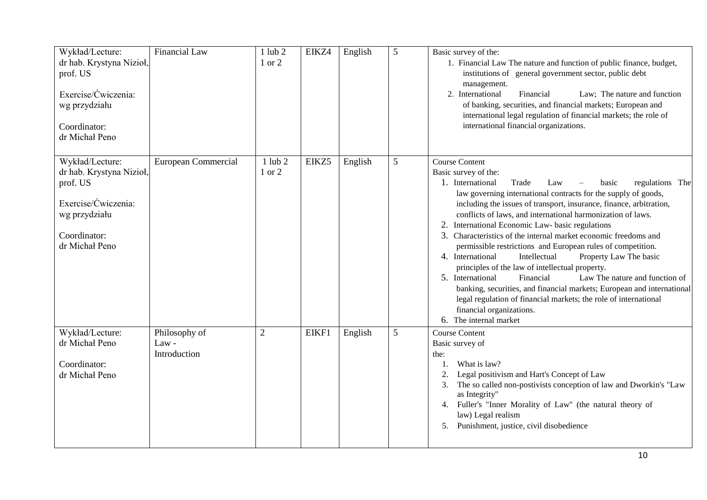| Wykład/Lecture:<br>dr hab. Krystyna Nizioł,<br>prof. US<br>Exercise/Ćwiczenia:<br>wg przydziału<br>Coordinator:<br>dr Michał Peno | Financial Law                          | $1$ lub $2$<br>1 or 2 | EIKZ4 | English | 5 | Basic survey of the:<br>1. Financial Law The nature and function of public finance, budget,<br>institutions of general government sector, public debt<br>management.<br>2. International<br>Financial<br>Law; The nature and function<br>of banking, securities, and financial markets; European and<br>international legal regulation of financial markets; the role of<br>international financial organizations.                                                                                                                                                                                                                                                                                                                                                                                                                                                                                  |
|-----------------------------------------------------------------------------------------------------------------------------------|----------------------------------------|-----------------------|-------|---------|---|-----------------------------------------------------------------------------------------------------------------------------------------------------------------------------------------------------------------------------------------------------------------------------------------------------------------------------------------------------------------------------------------------------------------------------------------------------------------------------------------------------------------------------------------------------------------------------------------------------------------------------------------------------------------------------------------------------------------------------------------------------------------------------------------------------------------------------------------------------------------------------------------------------|
| Wykład/Lecture:<br>dr hab. Krystyna Nizioł,<br>prof. US<br>Exercise/Ćwiczenia:<br>wg przydziału<br>Coordinator:<br>dr Michał Peno | European Commercial                    | $1$ lub $2$<br>1 or 2 | EIKZ5 | English | 5 | <b>Course Content</b><br>Basic survey of the:<br>Trade<br>1. International<br>regulations The<br>Law<br>basic<br>law governing international contracts for the supply of goods,<br>including the issues of transport, insurance, finance, arbitration,<br>conflicts of laws, and international harmonization of laws.<br>2. International Economic Law- basic regulations<br>3. Characteristics of the internal market economic freedoms and<br>permissible restrictions and European rules of competition.<br>4. International<br>Intellectual<br>Property Law The basic<br>principles of the law of intellectual property.<br>Law The nature and function of<br>5. International<br>Financial<br>banking, securities, and financial markets; European and international<br>legal regulation of financial markets; the role of international<br>financial organizations.<br>6. The internal market |
| Wykład/Lecture:<br>dr Michał Peno<br>Coordinator:<br>dr Michał Peno                                                               | Philosophy of<br>Law -<br>Introduction | $\overline{2}$        | EIKF1 | English | 5 | <b>Course Content</b><br>Basic survey of<br>the:<br>What is law?<br>Legal positivism and Hart's Concept of Law<br>The so called non-postivists conception of law and Dworkin's "Law<br>3.<br>as Integrity"<br>Fuller's "Inner Morality of Law" (the natural theory of<br>4.<br>law) Legal realism<br>Punishment, justice, civil disobedience<br>5.                                                                                                                                                                                                                                                                                                                                                                                                                                                                                                                                                  |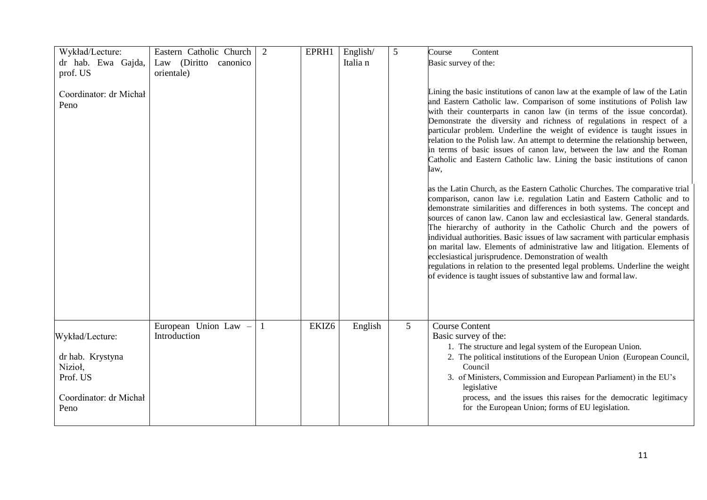| Wykład/Lecture:<br>dr hab. Ewa Gajda,<br>prof. US<br>Coordinator: dr Michał<br>Peno          | Eastern Catholic Church<br>Law (Diritto canonico<br>orientale) | 2 | EPRH1             | English/<br>Italia n | 5 | Course<br>Content<br>Basic survey of the:<br>Lining the basic institutions of canon law at the example of law of the Latin<br>and Eastern Catholic law. Comparison of some institutions of Polish law<br>with their counterparts in canon law (in terms of the issue concordat).<br>Demonstrate the diversity and richness of regulations in respect of a<br>particular problem. Underline the weight of evidence is taught issues in<br>relation to the Polish law. An attempt to determine the relationship between,                                                                                                                                                                                                                                                 |
|----------------------------------------------------------------------------------------------|----------------------------------------------------------------|---|-------------------|----------------------|---|------------------------------------------------------------------------------------------------------------------------------------------------------------------------------------------------------------------------------------------------------------------------------------------------------------------------------------------------------------------------------------------------------------------------------------------------------------------------------------------------------------------------------------------------------------------------------------------------------------------------------------------------------------------------------------------------------------------------------------------------------------------------|
|                                                                                              |                                                                |   |                   |                      |   | in terms of basic issues of canon law, between the law and the Roman<br>Catholic and Eastern Catholic law. Lining the basic institutions of canon<br>law,                                                                                                                                                                                                                                                                                                                                                                                                                                                                                                                                                                                                              |
|                                                                                              |                                                                |   |                   |                      |   | as the Latin Church, as the Eastern Catholic Churches. The comparative trial<br>comparison, canon law i.e. regulation Latin and Eastern Catholic and to<br>demonstrate similarities and differences in both systems. The concept and<br>sources of canon law. Canon law and ecclesiastical law. General standards.<br>The hierarchy of authority in the Catholic Church and the powers of<br>individual authorities. Basic issues of law sacrament with particular emphasis<br>on marital law. Elements of administrative law and litigation. Elements of<br>ecclesiastical jurisprudence. Demonstration of wealth<br>regulations in relation to the presented legal problems. Underline the weight<br>of evidence is taught issues of substantive law and formal law. |
| Wykład/Lecture:<br>dr hab. Krystyna<br>Nizioł,<br>Prof. US<br>Coordinator: dr Michał<br>Peno | European Union Law -<br>Introduction                           |   | EKIZ <sub>6</sub> | English              | 5 | <b>Course Content</b><br>Basic survey of the:<br>1. The structure and legal system of the European Union.<br>2. The political institutions of the European Union (European Council,<br>Council<br>3. of Ministers, Commission and European Parliament) in the EU's<br>legislative<br>process, and the issues this raises for the democratic legitimacy<br>for the European Union; forms of EU legislation.                                                                                                                                                                                                                                                                                                                                                             |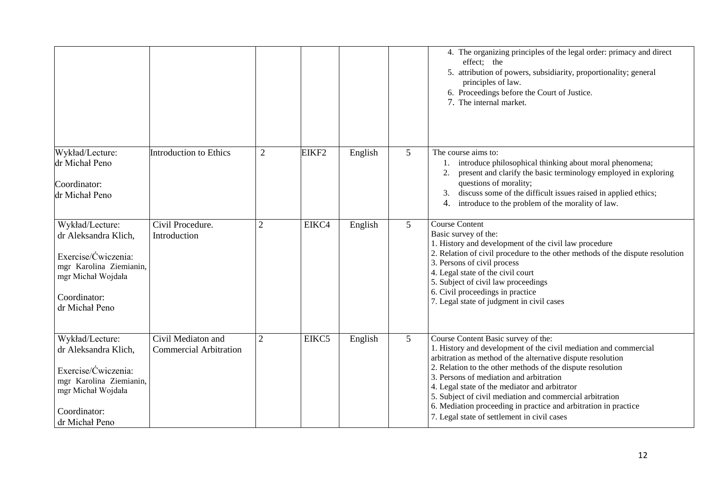|                                                                                                                                                   |                                                     |                |                   |         |                 | 4. The organizing principles of the legal order: primacy and direct<br>effect; the<br>5. attribution of powers, subsidiarity, proportionality; general<br>principles of law.<br>6. Proceedings before the Court of Justice.<br>7. The internal market.                                                                                                                                                                                                                                                         |
|---------------------------------------------------------------------------------------------------------------------------------------------------|-----------------------------------------------------|----------------|-------------------|---------|-----------------|----------------------------------------------------------------------------------------------------------------------------------------------------------------------------------------------------------------------------------------------------------------------------------------------------------------------------------------------------------------------------------------------------------------------------------------------------------------------------------------------------------------|
| Wykład/Lecture:<br>dr Michał Peno<br>Coordinator:<br>dr Michał Peno                                                                               | Introduction to Ethics                              | $\overline{2}$ | EIKF <sub>2</sub> | English | 5               | The course aims to:<br>introduce philosophical thinking about moral phenomena;<br>present and clarify the basic terminology employed in exploring<br>2.<br>questions of morality;<br>discuss some of the difficult issues raised in applied ethics;<br>introduce to the problem of the morality of law.<br>4.                                                                                                                                                                                                  |
| Wykład/Lecture:<br>dr Aleksandra Klich,<br>Exercise/Ćwiczenia:<br>mgr Karolina Ziemianin,<br>mgr Michał Wojdała<br>Coordinator:<br>dr Michał Peno | Civil Procedure.<br>Introduction                    | $\overline{2}$ | EIKC4             | English | 5               | <b>Course Content</b><br>Basic survey of the:<br>1. History and development of the civil law procedure<br>2. Relation of civil procedure to the other methods of the dispute resolution<br>3. Persons of civil process<br>4. Legal state of the civil court<br>5. Subject of civil law proceedings<br>6. Civil proceedings in practice<br>7. Legal state of judgment in civil cases                                                                                                                            |
| Wykład/Lecture:<br>dr Aleksandra Klich,<br>Exercise/Ćwiczenia:<br>mgr Karolina Ziemianin,<br>mgr Michał Wojdała<br>Coordinator:<br>dr Michał Peno | Civil Mediaton and<br><b>Commercial Arbitration</b> | $\overline{2}$ | EIKC5             | English | $5\overline{)}$ | Course Content Basic survey of the:<br>1. History and development of the civil mediation and commercial<br>arbitration as method of the alternative dispute resolution<br>2. Relation to the other methods of the dispute resolution<br>3. Persons of mediation and arbitration<br>4. Legal state of the mediator and arbitrator<br>5. Subject of civil mediation and commercial arbitration<br>6. Mediation proceeding in practice and arbitration in practice<br>7. Legal state of settlement in civil cases |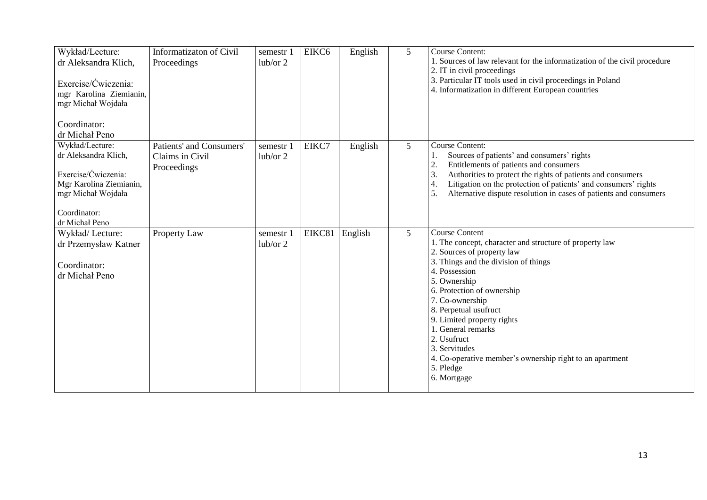| Wykład/Lecture:<br>dr Aleksandra Klich,<br>Exercise/Ćwiczenia:<br>mgr Karolina Ziemianin,<br>mgr Michał Wojdała<br>Coordinator:<br>dr Michał Peno | Informatizaton of Civil<br>Proceedings                     | semestr 1<br>lub/or 2 | EIKC6  | English | 5              | <b>Course Content:</b><br>1. Sources of law relevant for the informatization of the civil procedure<br>2. IT in civil proceedings<br>3. Particular IT tools used in civil proceedings in Poland<br>4. Informatization in different European countries                                                                                                                                                                                         |
|---------------------------------------------------------------------------------------------------------------------------------------------------|------------------------------------------------------------|-----------------------|--------|---------|----------------|-----------------------------------------------------------------------------------------------------------------------------------------------------------------------------------------------------------------------------------------------------------------------------------------------------------------------------------------------------------------------------------------------------------------------------------------------|
| Wykład/Lecture:<br>dr Aleksandra Klich,<br>Exercise/Ćwiczenia:<br>Mgr Karolina Ziemianin,<br>mgr Michał Wojdała<br>Coordinator:<br>dr Michał Peno | Patients' and Consumers'<br>Claims in Civil<br>Proceedings | semestr 1<br>lub/or 2 | EIKC7  | English | 5              | <b>Course Content:</b><br>Sources of patients' and consumers' rights<br>1.<br>2.<br>Entitlements of patients and consumers<br>3.<br>Authorities to protect the rights of patients and consumers<br>Litigation on the protection of patients' and consumers' rights<br>4.<br>Alternative dispute resolution in cases of patients and consumers<br>5.                                                                                           |
| Wykład/Lecture:<br>dr Przemysław Katner<br>Coordinator:<br>dr Michał Peno                                                                         | Property Law                                               | semestr 1<br>lub/or 2 | EIKC81 | English | $\overline{5}$ | <b>Course Content</b><br>1. The concept, character and structure of property law<br>2. Sources of property law<br>3. Things and the division of things<br>4. Possession<br>5. Ownership<br>6. Protection of ownership<br>7. Co-ownership<br>8. Perpetual usufruct<br>9. Limited property rights<br>1. General remarks<br>2. Usufruct<br>3. Servitudes<br>4. Co-operative member's ownership right to an apartment<br>5. Pledge<br>6. Mortgage |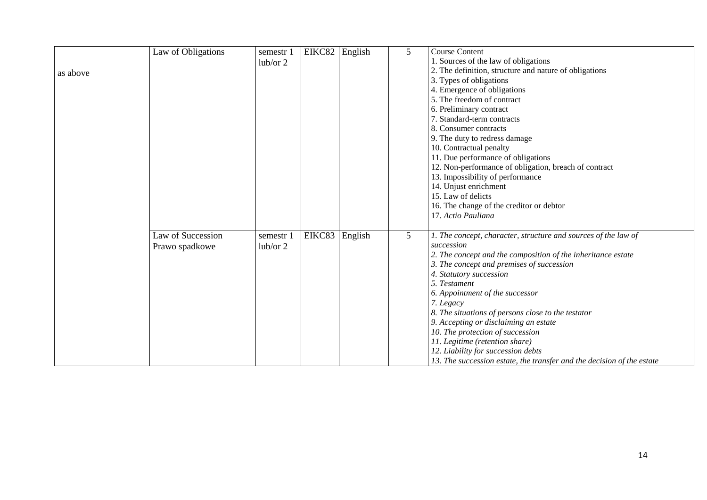|          | Law of Obligations | semestr 1 | EIKC82 | English | 5               | <b>Course Content</b>                                                  |
|----------|--------------------|-----------|--------|---------|-----------------|------------------------------------------------------------------------|
|          |                    | lub/or 2  |        |         |                 | 1. Sources of the law of obligations                                   |
| as above |                    |           |        |         |                 | 2. The definition, structure and nature of obligations                 |
|          |                    |           |        |         |                 | 3. Types of obligations                                                |
|          |                    |           |        |         |                 | 4. Emergence of obligations                                            |
|          |                    |           |        |         |                 | 5. The freedom of contract                                             |
|          |                    |           |        |         |                 | 6. Preliminary contract                                                |
|          |                    |           |        |         |                 | 7. Standard-term contracts                                             |
|          |                    |           |        |         |                 | 8. Consumer contracts                                                  |
|          |                    |           |        |         |                 | 9. The duty to redress damage                                          |
|          |                    |           |        |         |                 | 10. Contractual penalty                                                |
|          |                    |           |        |         |                 | 11. Due performance of obligations                                     |
|          |                    |           |        |         |                 | 12. Non-performance of obligation, breach of contract                  |
|          |                    |           |        |         |                 | 13. Impossibility of performance                                       |
|          |                    |           |        |         |                 | 14. Unjust enrichment                                                  |
|          |                    |           |        |         |                 | 15. Law of delicts                                                     |
|          |                    |           |        |         |                 | 16. The change of the creditor or debtor                               |
|          |                    |           |        |         |                 | 17. Actio Pauliana                                                     |
|          |                    |           |        |         |                 |                                                                        |
|          | Law of Succession  | semestr 1 | EIKC83 | English | $5\overline{)}$ | 1. The concept, character, structure and sources of the law of         |
|          | Prawo spadkowe     | lub/or 2  |        |         |                 | succession                                                             |
|          |                    |           |        |         |                 | 2. The concept and the composition of the inheritance estate           |
|          |                    |           |        |         |                 | 3. The concept and premises of succession                              |
|          |                    |           |        |         |                 | 4. Statutory succession                                                |
|          |                    |           |        |         |                 | 5. Testament                                                           |
|          |                    |           |        |         |                 | 6. Appointment of the successor                                        |
|          |                    |           |        |         |                 | 7. Legacy                                                              |
|          |                    |           |        |         |                 | 8. The situations of persons close to the testator                     |
|          |                    |           |        |         |                 | 9. Accepting or disclaiming an estate                                  |
|          |                    |           |        |         |                 | 10. The protection of succession                                       |
|          |                    |           |        |         |                 | 11. Legitime (retention share)                                         |
|          |                    |           |        |         |                 | 12. Liability for succession debts                                     |
|          |                    |           |        |         |                 | 13. The succession estate, the transfer and the decision of the estate |